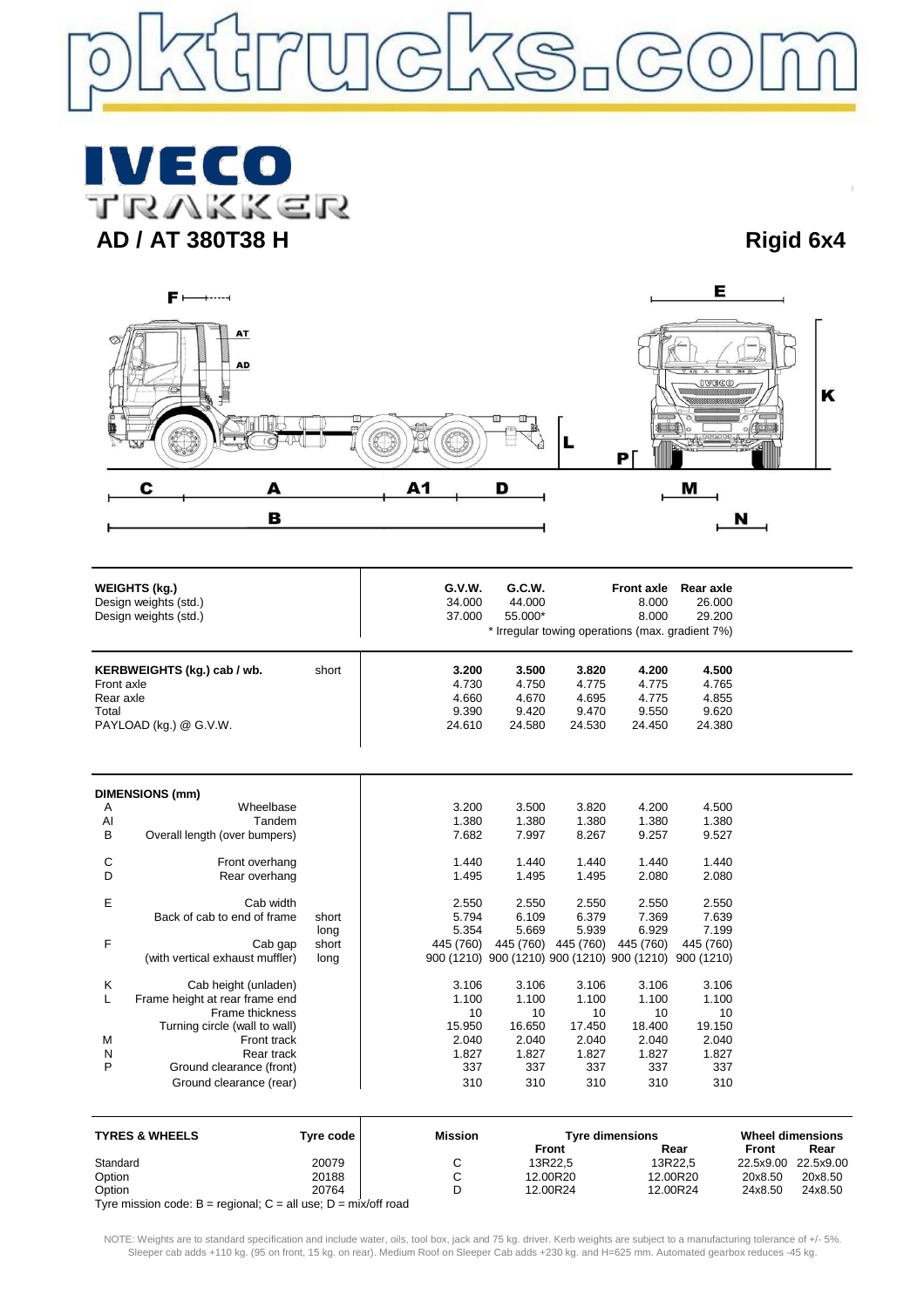

**IVECO**<br>TRAKKER **AD / AT 380T38 H Rigid 6x4**



| <b>WEIGHTS (kg)</b><br>Design weights (std.)<br>Design weights (std.)                              |                                            | G.V.W.<br>34.000<br>37.000                 | G.C.W.<br>44.000<br>55.000*                |                                                       | <b>Front axle</b><br>8.000<br>8.000<br>* Irregular towing operations (max. gradient 7%) | Rear axle<br>26.000<br>29.200                                       |                                                 |  |
|----------------------------------------------------------------------------------------------------|--------------------------------------------|--------------------------------------------|--------------------------------------------|-------------------------------------------------------|-----------------------------------------------------------------------------------------|---------------------------------------------------------------------|-------------------------------------------------|--|
| KERBWEIGHTS (kg.) cab / wb.<br>short<br>Front axle<br>Rear axle<br>Total<br>PAYLOAD (kg.) @ G.V.W. |                                            | 3.200<br>4.730<br>4.660<br>9.390<br>24.610 | 3.500<br>4.750<br>4.670<br>9.420<br>24.580 | 3.820<br>4.775<br>4.695<br>9.470<br>24.530            | 4.200<br>4.775<br>4.775<br>9.550<br>24.450                                              | 4.500<br>4.765<br>4.855<br>9.620<br>24.380                          |                                                 |  |
|                                                                                                    |                                            |                                            |                                            |                                                       |                                                                                         |                                                                     |                                                 |  |
| Α                                                                                                  | <b>DIMENSIONS (mm)</b><br>Wheelbase        |                                            | 3.200                                      | 3.500                                                 | 3.820                                                                                   | 4.200                                                               | 4.500                                           |  |
| Al                                                                                                 | Tandem                                     |                                            | 1.380                                      | 1.380                                                 | 1.380                                                                                   | 1.380                                                               | 1.380                                           |  |
| B                                                                                                  | Overall length (over bumpers)              |                                            | 7.682                                      | 7.997                                                 | 8.267                                                                                   | 9.257                                                               | 9.527                                           |  |
| C                                                                                                  | Front overhang                             |                                            | 1.440                                      | 1.440                                                 | 1.440                                                                                   | 1.440                                                               | 1.440                                           |  |
| D                                                                                                  | Rear overhang                              |                                            | 1.495                                      | 1.495                                                 | 1.495                                                                                   | 2.080                                                               | 2.080                                           |  |
| Е                                                                                                  | Cab width                                  |                                            | 2.550                                      | 2.550                                                 | 2.550                                                                                   | 2.550                                                               | 2.550                                           |  |
|                                                                                                    | Back of cab to end of frame                | short                                      | 5.794                                      | 6.109                                                 | 6.379                                                                                   | 7.369                                                               | 7.639                                           |  |
|                                                                                                    |                                            | long                                       | 5.354                                      | 5.669                                                 | 5.939                                                                                   | 6.929                                                               | 7.199                                           |  |
| F                                                                                                  | Cab gap<br>(with vertical exhaust muffler) | short<br>long                              | 445 (760)                                  |                                                       | 445 (760) 445 (760)                                                                     | 445 (760)<br>900 (1210) 900 (1210) 900 (1210) 900 (1210) 900 (1210) | 445 (760)                                       |  |
|                                                                                                    |                                            |                                            |                                            |                                                       |                                                                                         |                                                                     |                                                 |  |
| Κ                                                                                                  | Cab height (unladen)                       |                                            | 3.106                                      | 3.106                                                 | 3.106                                                                                   | 3.106                                                               | 3.106                                           |  |
| L                                                                                                  | Frame height at rear frame end             |                                            | 1.100                                      | 1.100                                                 | 1.100                                                                                   | 1.100                                                               | 1.100                                           |  |
|                                                                                                    | Frame thickness                            |                                            | 10                                         | 10                                                    | 10                                                                                      | 10                                                                  | 10                                              |  |
|                                                                                                    | Turning circle (wall to wall)              |                                            | 15.950                                     | 16.650                                                | 17.450                                                                                  | 18.400                                                              | 19.150                                          |  |
| M                                                                                                  | Front track                                |                                            | 2.040                                      | 2.040                                                 | 2.040                                                                                   | 2.040                                                               | 2.040                                           |  |
| N<br>P                                                                                             | Rear track<br>Ground clearance (front)     |                                            | 1.827<br>337                               | 1.827<br>337                                          | 1.827<br>337                                                                            | 1.827<br>337                                                        | 1.827<br>337                                    |  |
|                                                                                                    | Ground clearance (rear)                    |                                            | 310                                        | 310                                                   | 310                                                                                     | 310                                                                 | 310                                             |  |
|                                                                                                    |                                            |                                            |                                            |                                                       |                                                                                         |                                                                     |                                                 |  |
| <b>TYRES &amp; WHEELS</b><br><b>Tyre code</b>                                                      |                                            | <b>Mission</b>                             |                                            | <b>Tyre dimensions</b><br><b>Door</b><br><b>Eront</b> |                                                                                         |                                                                     | <b>Wheel dimensions</b><br>Erant<br><b>Door</b> |  |

| I YKES & WHEELS                                                      | i vre code l | <b>MISSION</b> | Tyre dimensions | wheel dimensions |         |                     |
|----------------------------------------------------------------------|--------------|----------------|-----------------|------------------|---------|---------------------|
|                                                                      |              |                | Front           | Rear             | Front   | Rear                |
| Standard                                                             | 20079        |                | 13R22.5         | 13R22.5          |         | 22.5x9.00 22.5x9.00 |
| Option                                                               | 20188        |                | 12.00R20        | 12.00R20         | 20x8.50 | 20x8.50             |
| Option                                                               | 20764        |                | 12.00R24        | 12.00R24         | 24x8.50 | 24x8.50             |
| Tyre mission code: $B =$ regional; $C =$ all use; $D =$ mix/off road |              |                |                 |                  |         |                     |

NOTE: Weights are to standard specification and include water, oils, tool box, jack and 75 kg. driver. Kerb weights are subject to a manufacturing tolerance of +/- 5%. Sleeper cab adds +110 kg. (95 on front, 15 kg. on rear). Medium Roof on Sleeper Cab adds +230 kg. and H=625 mm. Automated gearbox reduces -45 kg.